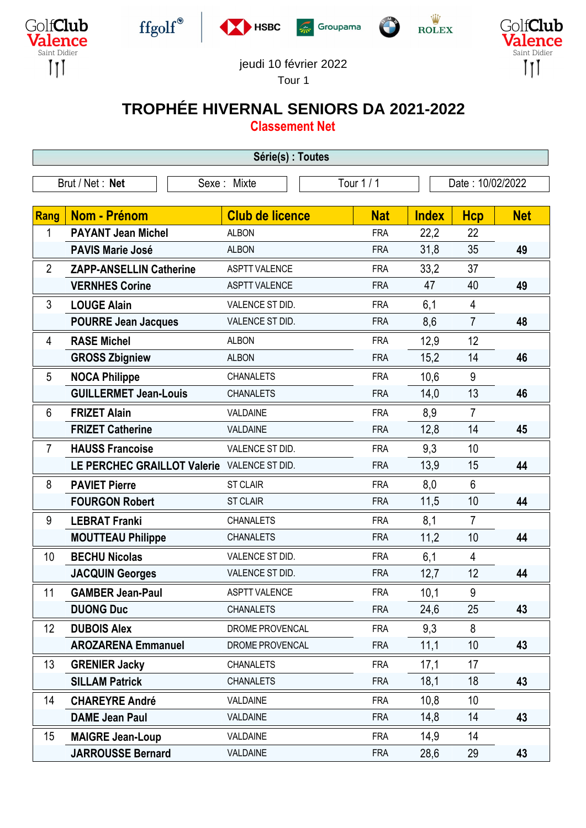











## jeudi 10 février 2022

Tour 1

## **TROPHÉE HIVERNAL SENIORS DA 2021-2022**

**Classement Net**

| Série(s) : Toutes |                                             |                        |            |                  |                 |            |  |
|-------------------|---------------------------------------------|------------------------|------------|------------------|-----------------|------------|--|
|                   | Brut / Net : Net                            | Sexe: Mixte            | Tour 1 / 1 | Date: 10/02/2022 |                 |            |  |
|                   |                                             |                        |            |                  |                 |            |  |
| <b>Rang</b>       | Nom - Prénom                                | <b>Club de licence</b> | <b>Nat</b> | <b>Index</b>     | <b>Hcp</b>      | <b>Net</b> |  |
| 1                 | <b>PAYANT Jean Michel</b>                   | <b>ALBON</b>           | <b>FRA</b> | 22,2             | 22              |            |  |
|                   | <b>PAVIS Marie José</b>                     | <b>ALBON</b>           | <b>FRA</b> | 31,8             | 35              | 49         |  |
| $\overline{2}$    | <b>ZAPP-ANSELLIN Catherine</b>              | <b>ASPTT VALENCE</b>   | <b>FRA</b> | 33,2             | 37              |            |  |
|                   | <b>VERNHES Corine</b>                       | <b>ASPTT VALENCE</b>   | <b>FRA</b> | 47               | 40              | 49         |  |
| 3                 | <b>LOUGE Alain</b>                          | VALENCE ST DID.        | <b>FRA</b> | 6,1              | 4               |            |  |
|                   | <b>POURRE Jean Jacques</b>                  | VALENCE ST DID.        | <b>FRA</b> | 8,6              | $\overline{7}$  | 48         |  |
| 4                 | <b>RASE Michel</b>                          | <b>ALBON</b>           | <b>FRA</b> | 12,9             | 12              |            |  |
|                   | <b>GROSS Zbigniew</b>                       | <b>ALBON</b>           | <b>FRA</b> | 15,2             | 14              | 46         |  |
| 5                 | <b>NOCA Philippe</b>                        | <b>CHANALETS</b>       | <b>FRA</b> | 10,6             | 9               |            |  |
|                   | <b>GUILLERMET Jean-Louis</b>                | <b>CHANALETS</b>       | <b>FRA</b> | 14,0             | 13              | 46         |  |
| 6                 | <b>FRIZET Alain</b>                         | VALDAINE               | <b>FRA</b> | 8,9              | $\overline{7}$  |            |  |
|                   | <b>FRIZET Catherine</b>                     | VALDAINE               | <b>FRA</b> | 12,8             | 14              | 45         |  |
| 7                 | <b>HAUSS Francoise</b>                      | VALENCE ST DID.        | <b>FRA</b> | 9,3              | 10              |            |  |
|                   | LE PERCHEC GRAILLOT Valerie VALENCE ST DID. |                        | <b>FRA</b> | 13,9             | 15              | 44         |  |
| 8                 | <b>PAVIET Pierre</b>                        | <b>ST CLAIR</b>        | <b>FRA</b> | 8,0              | $6\phantom{1}$  |            |  |
|                   | <b>FOURGON Robert</b>                       | <b>ST CLAIR</b>        | <b>FRA</b> | 11,5             | 10              | 44         |  |
| 9                 | <b>LEBRAT Franki</b>                        | <b>CHANALETS</b>       | <b>FRA</b> | 8,1              | $\overline{7}$  |            |  |
|                   | <b>MOUTTEAU Philippe</b>                    | <b>CHANALETS</b>       | <b>FRA</b> | 11,2             | 10              | 44         |  |
| 10                | <b>BECHU Nicolas</b>                        | VALENCE ST DID.        | <b>FRA</b> | 6,1              | 4               |            |  |
|                   | <b>JACQUIN Georges</b>                      | VALENCE ST DID.        | <b>FRA</b> | 12,7             | 12              | 44         |  |
| 11                | <b>GAMBER Jean-Paul</b>                     | <b>ASPTT VALENCE</b>   | <b>FRA</b> | 10,1             | 9               |            |  |
|                   | <b>DUONG Duc</b>                            | <b>CHANALETS</b>       | <b>FRA</b> | 24,6             | 25              | 43         |  |
| 12                | <b>DUBOIS Alex</b>                          | <b>DROME PROVENCAL</b> | <b>FRA</b> | 9,3              | 8               |            |  |
|                   | <b>AROZARENA Emmanuel</b>                   | DROME PROVENCAL        | <b>FRA</b> | 11,1             | 10              | 43         |  |
| 13                | <b>GRENIER Jacky</b>                        | <b>CHANALETS</b>       | <b>FRA</b> | 17,1             | 17              |            |  |
|                   | <b>SILLAM Patrick</b>                       | <b>CHANALETS</b>       | <b>FRA</b> | 18,1             | 18              | 43         |  |
| 14                | <b>CHAREYRE André</b>                       | VALDAINE               | <b>FRA</b> | 10,8             | 10 <sup>°</sup> |            |  |
|                   | <b>DAME Jean Paul</b>                       | VALDAINE               | <b>FRA</b> | 14,8             | 14              | 43         |  |
| 15                | <b>MAIGRE Jean-Loup</b>                     | VALDAINE               | <b>FRA</b> | 14,9             | 14              |            |  |
|                   | <b>JARROUSSE Bernard</b>                    | VALDAINE               | <b>FRA</b> | 28,6             | 29              | 43         |  |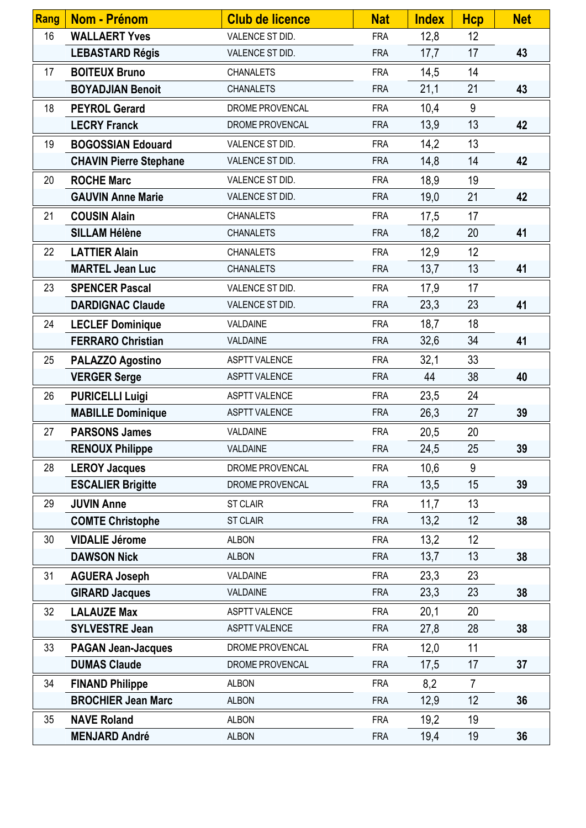| Rang | <b>Nom - Prénom</b>           | <b>Club de licence</b> | <b>Nat</b> | <b>Index</b> | <b>Hcp</b>     | <b>Net</b> |
|------|-------------------------------|------------------------|------------|--------------|----------------|------------|
| 16   | <b>WALLAERT Yves</b>          | VALENCE ST DID.        | <b>FRA</b> | 12,8         | 12             |            |
|      | <b>LEBASTARD Régis</b>        | VALENCE ST DID.        | <b>FRA</b> | 17,7         | 17             | 43         |
| 17   | <b>BOITEUX Bruno</b>          | <b>CHANALETS</b>       | <b>FRA</b> | 14,5         | 14             |            |
|      | <b>BOYADJIAN Benoit</b>       | <b>CHANALETS</b>       | <b>FRA</b> | 21,1         | 21             | 43         |
| 18   | <b>PEYROL Gerard</b>          | DROME PROVENCAL        | <b>FRA</b> | 10,4         | 9              |            |
|      | <b>LECRY Franck</b>           | DROME PROVENCAL        | <b>FRA</b> | 13,9         | 13             | 42         |
| 19   | <b>BOGOSSIAN Edouard</b>      | VALENCE ST DID.        | <b>FRA</b> | 14,2         | 13             |            |
|      | <b>CHAVIN Pierre Stephane</b> | VALENCE ST DID.        | <b>FRA</b> | 14,8         | 14             | 42         |
| 20   | <b>ROCHE Marc</b>             | VALENCE ST DID.        | <b>FRA</b> | 18,9         | 19             |            |
|      | <b>GAUVIN Anne Marie</b>      | VALENCE ST DID.        | <b>FRA</b> | 19,0         | 21             | 42         |
| 21   | <b>COUSIN Alain</b>           | <b>CHANALETS</b>       | <b>FRA</b> | 17,5         | 17             |            |
|      | <b>SILLAM Hélène</b>          | <b>CHANALETS</b>       | <b>FRA</b> | 18,2         | 20             | 41         |
| 22   | <b>LATTIER Alain</b>          | <b>CHANALETS</b>       | <b>FRA</b> | 12,9         | 12             |            |
|      | <b>MARTEL Jean Luc</b>        | <b>CHANALETS</b>       | <b>FRA</b> | 13,7         | 13             | 41         |
| 23   | <b>SPENCER Pascal</b>         | VALENCE ST DID.        | <b>FRA</b> | 17,9         | 17             |            |
|      | <b>DARDIGNAC Claude</b>       | VALENCE ST DID.        | <b>FRA</b> | 23,3         | 23             | 41         |
| 24   | <b>LECLEF Dominique</b>       | VALDAINE               | <b>FRA</b> | 18,7         | 18             |            |
|      | <b>FERRARO Christian</b>      | VALDAINE               | <b>FRA</b> | 32,6         | 34             | 41         |
| 25   | <b>PALAZZO Agostino</b>       | <b>ASPTT VALENCE</b>   | <b>FRA</b> | 32,1         | 33             |            |
|      | <b>VERGER Serge</b>           | <b>ASPTT VALENCE</b>   | <b>FRA</b> | 44           | 38             | 40         |
| 26   | <b>PURICELLI Luigi</b>        | <b>ASPTT VALENCE</b>   | <b>FRA</b> | 23,5         | 24             |            |
|      | <b>MABILLE Dominique</b>      | <b>ASPTT VALENCE</b>   | <b>FRA</b> | 26,3         | 27             | 39         |
| 27   | <b>PARSONS James</b>          | VALDAINE               | <b>FRA</b> | 20,5         | 20             |            |
|      | <b>RENOUX Philippe</b>        | VALDAINE               | <b>FRA</b> | 24,5         | 25             | 39         |
| 28   | <b>LEROY Jacques</b>          | DROME PROVENCAL        | <b>FRA</b> | 10,6         | 9              |            |
|      | <b>ESCALIER Brigitte</b>      | DROME PROVENCAL        | <b>FRA</b> | 13,5         | 15             | 39         |
| 29   | <b>JUVIN Anne</b>             | <b>ST CLAIR</b>        | <b>FRA</b> | 11,7         | 13             |            |
|      | <b>COMTE Christophe</b>       | <b>ST CLAIR</b>        | <b>FRA</b> | 13,2         | 12             | 38         |
| 30   | <b>VIDALIE Jérome</b>         | <b>ALBON</b>           | <b>FRA</b> | 13,2         | 12             |            |
|      | <b>DAWSON Nick</b>            | <b>ALBON</b>           | <b>FRA</b> | 13,7         | 13             | 38         |
| 31   | <b>AGUERA Joseph</b>          | VALDAINE               | <b>FRA</b> | 23,3         | 23             |            |
|      | <b>GIRARD Jacques</b>         | VALDAINE               | <b>FRA</b> | 23,3         | 23             | 38         |
| 32   | <b>LALAUZE Max</b>            | <b>ASPTT VALENCE</b>   | <b>FRA</b> | 20,1         | 20             |            |
|      | <b>SYLVESTRE Jean</b>         | <b>ASPTT VALENCE</b>   | <b>FRA</b> | 27,8         | 28             | 38         |
| 33   | <b>PAGAN Jean-Jacques</b>     | DROME PROVENCAL        | <b>FRA</b> | 12,0         | 11             |            |
|      | <b>DUMAS Claude</b>           | DROME PROVENCAL        | <b>FRA</b> | 17,5         | 17             | 37         |
| 34   | <b>FINAND Philippe</b>        | <b>ALBON</b>           | <b>FRA</b> | 8,2          | $\overline{7}$ |            |
|      | <b>BROCHIER Jean Marc</b>     | <b>ALBON</b>           | <b>FRA</b> | 12,9         | 12             | 36         |
| 35   | <b>NAVE Roland</b>            | <b>ALBON</b>           | <b>FRA</b> | 19,2         | 19             |            |
|      | <b>MENJARD André</b>          | <b>ALBON</b>           | <b>FRA</b> | 19,4         | 19             | 36         |